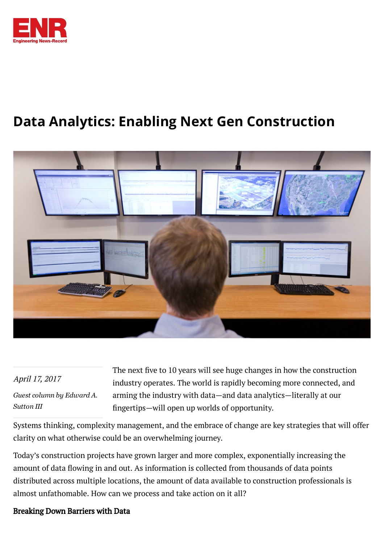

## Data Analytics: Enabling Next Gen Construction



## April 17, 2017

*Guest column by [Edward](http://www.enr.com/authors/1060-guest-column-by-edward-a-sutton-iii) A. Sutton III*

The next five to 10 years will see huge changes in how the construction industry operates. The world is rapidly becoming more connected, and arming the industry with data—and data analytics—literally at our ängertips—will open up worlds of opportunity.

Systems thinking, complexity management, and the embrace of change are key strategies that will offer clarity on what otherwise could be an overwhelming journey.

Today's construction projects have grown larger and more complex, exponentially increasing the amount of data flowing in and out. As information is collected from thousands of data points distributed across multiple locations, the amount of data available to construction professionals is almost unfathomable. How can we process and take action on it all?

## Breaking Down Barriers with Data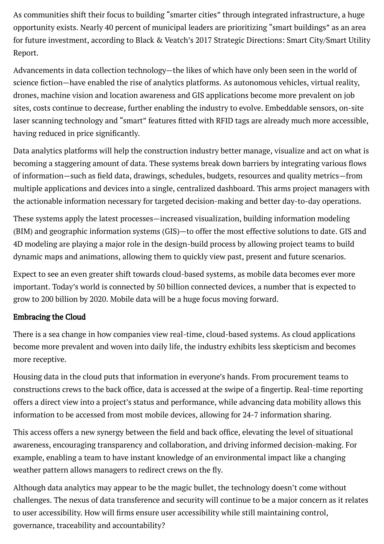As communities shift their focus to building "smarter cities" through integrated infrastructure, a huge opportunity exists. Nearly 40 percent of municipal leaders are prioritizing "smart buildings" as an area for future investment, according to Black & Veatch's 2017 Strategic Directions: Smart City/Smart Utility Report.

Advancements in data collection technology—the likes of which have only been seen in the world of science äction—have enabled the rise of analytics platforms. As autonomous vehicles, virtual reality, drones, machine vision and location awareness and GIS applications become more prevalent on job sites, costs continue to decrease, further enabling the industry to evolve. Embeddable sensors, on-site laser scanning technology and "smart" features fitted with RFID tags are already much more accessible, having reduced in price significantly.

Data analytics platforms will help the construction industry better manage, visualize and act on what is becoming a staggering amount of data. These systems break down barriers by integrating various flows of information—such as äeld data, drawings, schedules, budgets, resources and quality metrics—from multiple applications and devices into a single, centralized dashboard. This arms project managers with the actionable information necessary for targeted decision-making and better day-to-day operations.

These systems apply the latest processes—increased visualization, building information modeling (BIM) and geographic information systems (GIS)—to offer the most effective solutions to date. GIS and 4D modeling are playing a major role in the design-build process by allowing project teams to build dynamic maps and animations, allowing them to quickly view past, present and future scenarios.

Expect to see an even greater shift towards cloud-based systems, as mobile data becomes ever more important. Today's world is connected by 50 billion connected devices, a number that is expected to grow to 200 billion by 2020. Mobile data will be a huge focus moving forward.

## Embracing the Cloud

There is a sea change in how companies view real-time, cloud-based systems. As cloud applications become more prevalent and woven into daily life, the industry exhibits less skepticism and becomes more receptive.

Housing data in the cloud puts that information in everyone's hands. From procurement teams to constructions crews to the back office, data is accessed at the swipe of a fingertip. Real-time reporting offers a direct view into a project's status and performance, while advancing data mobility allows this information to be accessed from most mobile devices, allowing for 24-7 information sharing.

This access offers a new synergy between the äeld and back ofäce, elevating the level of situational awareness, encouraging transparency and collaboration, and driving informed decision-making. For example, enabling a team to have instant knowledge of an environmental impact like a changing weather pattern allows managers to redirect crews on the fly.

Although data analytics may appear to be the magic bullet, the technology doesn't come without challenges. The nexus of data transference and security will continue to be a major concern as it relates to user accessibility. How will ärms ensure user accessibility while still maintaining control, governance, traceability and accountability?